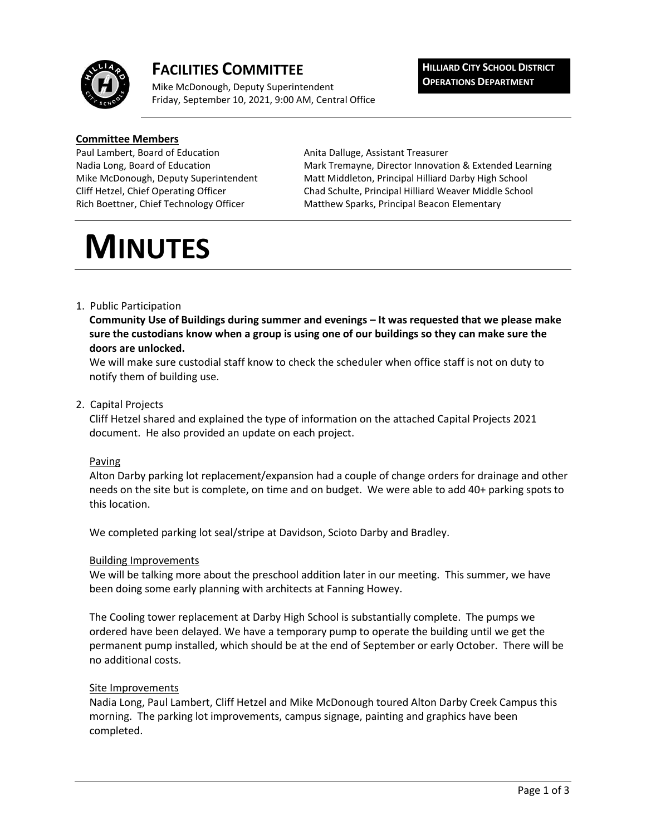

## **FACILITIES COMMITTEE**

Mike McDonough, Deputy Superintendent Friday, September 10, 2021, 9:00 AM, Central Office **HILLIARD CITY SCHOOL DISTRICT OPERATIONS DEPARTMENT**

#### **Committee Members**

Paul Lambert, Board of Education **Anita Dalluge, Assistant Treasurer** 

Nadia Long, Board of Education Mark Tremayne, Director Innovation & Extended Learning Mike McDonough, Deputy Superintendent Matt Middleton, Principal Hilliard Darby High School Cliff Hetzel, Chief Operating Officer Chad Schulte, Principal Hilliard Weaver Middle School Rich Boettner, Chief Technology Officer Matthew Sparks, Principal Beacon Elementary

# **MINUTES**

#### 1. Public Participation

**Community Use of Buildings during summer and evenings – It was requested that we please make sure the custodians know when a group is using one of our buildings so they can make sure the doors are unlocked.**

We will make sure custodial staff know to check the scheduler when office staff is not on duty to notify them of building use.

#### 2. Capital Projects

Cliff Hetzel shared and explained the type of information on the attached Capital Projects 2021 document. He also provided an update on each project.

#### Paving

Alton Darby parking lot replacement/expansion had a couple of change orders for drainage and other needs on the site but is complete, on time and on budget. We were able to add 40+ parking spots to this location.

We completed parking lot seal/stripe at Davidson, Scioto Darby and Bradley.

#### Building Improvements

We will be talking more about the preschool addition later in our meeting. This summer, we have been doing some early planning with architects at Fanning Howey.

The Cooling tower replacement at Darby High School is substantially complete. The pumps we ordered have been delayed. We have a temporary pump to operate the building until we get the permanent pump installed, which should be at the end of September or early October. There will be no additional costs.

#### Site Improvements

Nadia Long, Paul Lambert, Cliff Hetzel and Mike McDonough toured Alton Darby Creek Campus this morning. The parking lot improvements, campus signage, painting and graphics have been completed.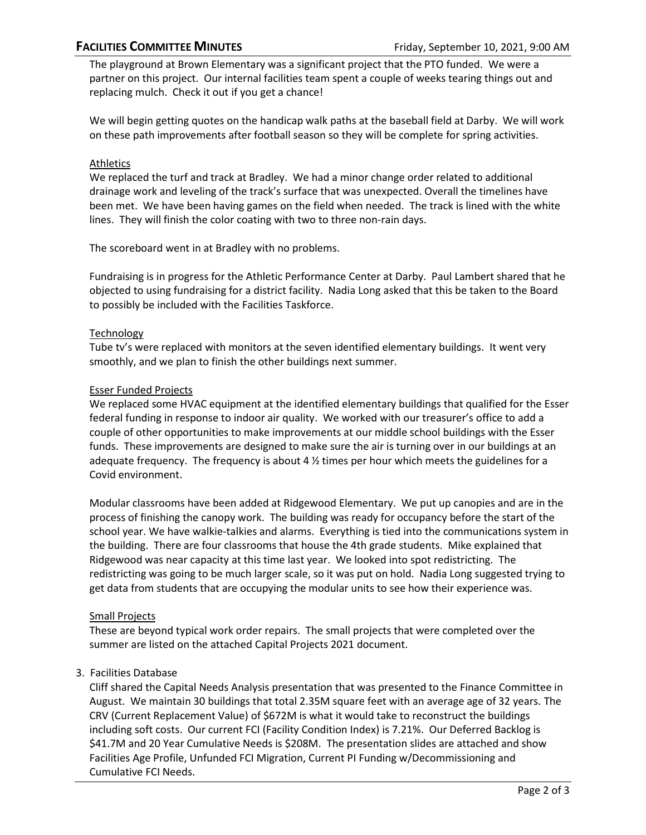The playground at Brown Elementary was a significant project that the PTO funded. We were a partner on this project. Our internal facilities team spent a couple of weeks tearing things out and replacing mulch. Check it out if you get a chance!

We will begin getting quotes on the handicap walk paths at the baseball field at Darby. We will work on these path improvements after football season so they will be complete for spring activities.

#### Athletics

We replaced the turf and track at Bradley. We had a minor change order related to additional drainage work and leveling of the track's surface that was unexpected. Overall the timelines have been met. We have been having games on the field when needed. The track is lined with the white lines. They will finish the color coating with two to three non-rain days.

The scoreboard went in at Bradley with no problems.

Fundraising is in progress for the Athletic Performance Center at Darby. Paul Lambert shared that he objected to using fundraising for a district facility. Nadia Long asked that this be taken to the Board to possibly be included with the Facilities Taskforce.

#### Technology

Tube tv's were replaced with monitors at the seven identified elementary buildings. It went very smoothly, and we plan to finish the other buildings next summer.

#### Esser Funded Projects

We replaced some HVAC equipment at the identified elementary buildings that qualified for the Esser federal funding in response to indoor air quality. We worked with our treasurer's office to add a couple of other opportunities to make improvements at our middle school buildings with the Esser funds. These improvements are designed to make sure the air is turning over in our buildings at an adequate frequency. The frequency is about 4  $\frac{1}{2}$  times per hour which meets the guidelines for a Covid environment.

Modular classrooms have been added at Ridgewood Elementary. We put up canopies and are in the process of finishing the canopy work. The building was ready for occupancy before the start of the school year. We have walkie-talkies and alarms. Everything is tied into the communications system in the building. There are four classrooms that house the 4th grade students. Mike explained that Ridgewood was near capacity at this time last year. We looked into spot redistricting. The redistricting was going to be much larger scale, so it was put on hold. Nadia Long suggested trying to get data from students that are occupying the modular units to see how their experience was.

#### Small Projects

These are beyond typical work order repairs. The small projects that were completed over the summer are listed on the attached Capital Projects 2021 document.

### 3. Facilities Database

Cliff shared the Capital Needs Analysis presentation that was presented to the Finance Committee in August. We maintain 30 buildings that total 2.35M square feet with an average age of 32 years. The CRV (Current Replacement Value) of \$672M is what it would take to reconstruct the buildings including soft costs. Our current FCI (Facility Condition Index) is 7.21%. Our Deferred Backlog is \$41.7M and 20 Year Cumulative Needs is \$208M. The presentation slides are attached and show Facilities Age Profile, Unfunded FCI Migration, Current PI Funding w/Decommissioning and Cumulative FCI Needs.